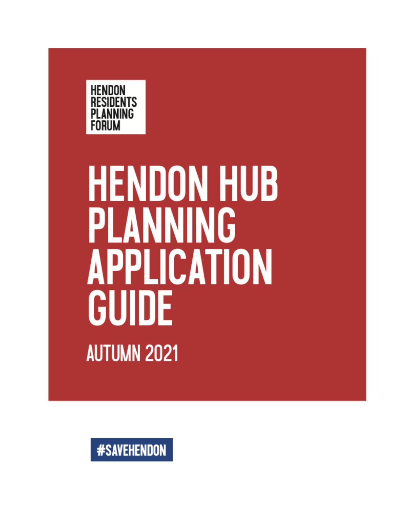

# **HENDON HUB** PLANNING **APPLICATION** GUIDE **AUTUMN 2021**

**#SAVEHENDON**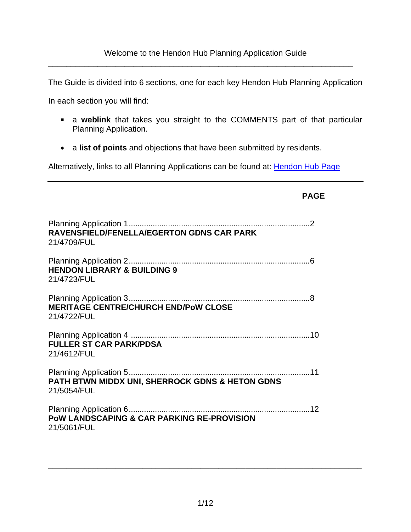\_\_\_\_\_\_\_\_\_\_\_\_\_\_\_\_\_\_\_\_\_\_\_\_\_\_\_\_\_\_\_\_\_\_\_\_\_\_\_\_\_\_\_\_\_\_\_\_\_\_\_\_\_\_\_\_\_\_\_\_\_\_\_\_\_\_\_\_

The Guide is divided into 6 sections, one for each key Hendon Hub Planning Application

In each section you will find:

a **weblink** that takes you straight to the COMMENTS part of that particular Planning Application.

**PAGE**

• a **list of points** and objections that have been submitted by residents.

Alternatively, links to all Planning Applications can be found at: [Hendon Hub Page](http://www.hendonhub.co.uk/)

| RAVENSFIELD/FENELLA/EGERTON GDNS CAR PARK<br>21/4709/FUL             |  |
|----------------------------------------------------------------------|--|
| <b>HENDON LIBRARY &amp; BUILDING 9</b><br>21/4723/FUL                |  |
| <b>MERITAGE CENTRE/CHURCH END/PoW CLOSE</b><br>21/4722/FUL           |  |
| <b>FULLER ST CAR PARK/PDSA</b><br>21/4612/FUL                        |  |
| PATH BTWN MIDDX UNI, SHERROCK GDNS & HETON GDNS<br>21/5054/FUL       |  |
| <b>POW LANDSCAPING &amp; CAR PARKING RE-PROVISION</b><br>21/5061/FUL |  |

**\_\_\_\_\_\_\_\_\_\_\_\_\_\_\_\_\_\_\_\_\_\_\_\_\_\_\_\_\_\_\_\_\_\_\_\_\_\_\_\_\_\_\_\_\_\_\_\_\_\_\_\_\_\_\_\_\_\_\_\_\_\_\_\_\_\_\_\_\_\_**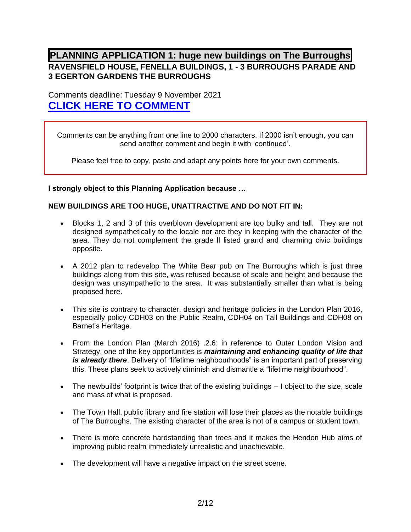## **PLANNING APPLICATION 1: huge new buildings on The Burroughs RAVENSFIELD HOUSE, FENELLA BUILDINGS, 1 - 3 BURROUGHS PARADE AND 3 EGERTON GARDENS THE BURROUGHS**

Comments deadline: Tuesday 9 November 2021 **[CLICK HERE TO COMMENT](https://publicaccess.barnet.gov.uk/online-applications/applicationDetails.do?activeTab=makeComment&keyVal=QYOWLAJI09100)**

Comments can be anything from one line to 2000 characters. If 2000 isn't enough, you can send another comment and begin it with 'continued'.

Please feel free to copy, paste and adapt any points here for your own comments.

**I strongly object to this Planning Application because …** 

#### **NEW BUILDINGS ARE TOO HUGE, UNATTRACTIVE AND DO NOT FIT IN:**

- Blocks 1, 2 and 3 of this overblown development are too bulky and tall. They are not designed sympathetically to the locale nor are they in keeping with the character of the area. They do not complement the grade ll listed grand and charming civic buildings opposite.
- A 2012 plan to redevelop The White Bear pub on The Burroughs which is just three buildings along from this site, was refused because of scale and height and because the design was unsympathetic to the area. It was substantially smaller than what is being proposed here.
- This site is contrary to character, design and heritage policies in the London Plan 2016, especially policy CDH03 on the Public Realm, CDH04 on Tall Buildings and CDH08 on Barnet's Heritage.
- From the London Plan (March 2016) .2.6: in reference to Outer London Vision and Strategy, one of the key opportunities is *maintaining and enhancing quality of life that is already there*. Delivery of "lifetime neighbourhoods" is an important part of preserving this. These plans seek to actively diminish and dismantle a "lifetime neighbourhood".
- The newbuilds' footprint is twice that of the existing buildings I object to the size, scale and mass of what is proposed.
- The Town Hall, public library and fire station will lose their places as the notable buildings of The Burroughs. The existing character of the area is not of a campus or student town.
- There is more concrete hardstanding than trees and it makes the Hendon Hub aims of improving public realm immediately unrealistic and unachievable.
- The development will have a negative impact on the street scene.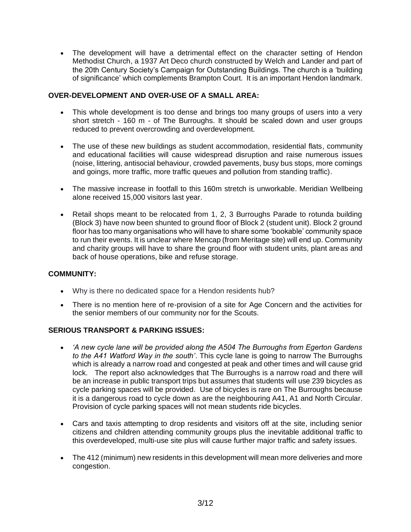• The development will have a detrimental effect on the character setting of Hendon Methodist Church, a 1937 Art Deco church constructed by Welch and Lander and part of the 20th Century Society's Campaign for Outstanding Buildings. The church is a 'building of significance' which complements Brampton Court. It is an important Hendon landmark.

#### **OVER-DEVELOPMENT AND OVER-USE OF A SMALL AREA:**

- This whole development is too dense and brings too many groups of users into a very short stretch - 160 m - of The Burroughs. It should be scaled down and user groups reduced to prevent overcrowding and overdevelopment.
- The use of these new buildings as student accommodation, residential flats, community and educational facilities will cause widespread disruption and raise numerous issues (noise, littering, antisocial behaviour, crowded pavements, busy bus stops, more comings and goings, more traffic, more traffic queues and pollution from standing traffic).
- The massive increase in footfall to this 160m stretch is unworkable. Meridian Wellbeing alone received 15,000 visitors last year.
- Retail shops meant to be relocated from 1, 2, 3 Burroughs Parade to rotunda building (Block 3) have now been shunted to ground floor of Block 2 (student unit). Block 2 ground floor has too many organisations who will have to share some 'bookable' community space to run their events. It is unclear where Mencap (from Meritage site) will end up. Community and charity groups will have to share the ground floor with student units, plant areas and back of house operations, bike and refuse storage.

#### **COMMUNITY:**

- Why is there no dedicated space for a Hendon residents hub?
- There is no mention here of re-provision of a site for Age Concern and the activities for the senior members of our community nor for the Scouts.

#### **SERIOUS TRANSPORT & PARKING ISSUES:**

- *'A new cycle lane will be provided along the A504 The Burroughs from Egerton Gardens to the A41 Watford Way in the south'*. This cycle lane is going to narrow The Burroughs which is already a narrow road and congested at peak and other times and will cause grid lock. The report also acknowledges that The Burroughs is a narrow road and there will be an increase in public transport trips but assumes that students will use 239 bicycles as cycle parking spaces will be provided. Use of bicycles is rare on The Burroughs because it is a dangerous road to cycle down as are the neighbouring A41, A1 and North Circular. Provision of cycle parking spaces will not mean students ride bicycles.
- Cars and taxis attempting to drop residents and visitors off at the site, including senior citizens and children attending community groups plus the inevitable additional traffic to this overdeveloped, multi-use site plus will cause further major traffic and safety issues.
- The 412 (minimum) new residents in this development will mean more deliveries and more congestion.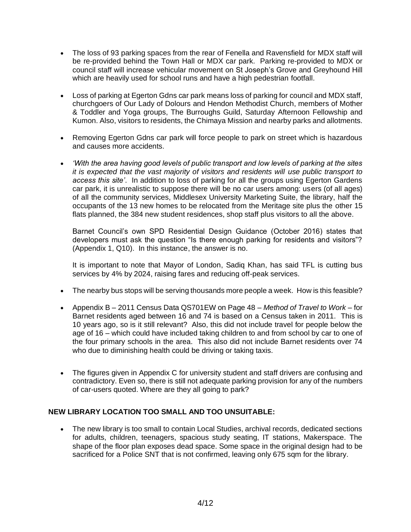- The loss of 93 parking spaces from the rear of Fenella and Ravensfield for MDX staff will be re-provided behind the Town Hall or MDX car park. Parking re-provided to MDX or council staff will increase vehicular movement on St Joseph's Grove and Greyhound Hill which are heavily used for school runs and have a high pedestrian footfall.
- Loss of parking at Egerton Gdns car park means loss of parking for council and MDX staff, churchgoers of Our Lady of Dolours and Hendon Methodist Church, members of Mother & Toddler and Yoga groups, The Burroughs Guild, Saturday Afternoon Fellowship and Kumon. Also, visitors to residents, the Chimaya Mission and nearby parks and allotments.
- Removing Egerton Gdns car park will force people to park on street which is hazardous and causes more accidents.
- *'With the area having good levels of public transport and low levels of parking at the sites it is expected that the vast majority of visitors and residents will use public transport to access this site'*. In addition to loss of parking for all the groups using Egerton Gardens car park, it is unrealistic to suppose there will be no car users among: users (of all ages) of all the community services, Middlesex University Marketing Suite, the library, half the occupants of the 13 new homes to be relocated from the Meritage site plus the other 15 flats planned, the 384 new student residences, shop staff plus visitors to all the above.

Barnet Council's own SPD Residential Design Guidance (October 2016) states that developers must ask the question "Is there enough parking for residents and visitors"? (Appendix 1, Q10). In this instance, the answer is no.

It is important to note that Mayor of London, Sadiq Khan, has said TFL is cutting bus services by 4% by 2024, raising fares and reducing off-peak services.

- The nearby bus stops will be serving thousands more people a week. How is this feasible?
- Appendix B 2011 Census Data QS701EW on Page 48 *Method of Travel to Work* for Barnet residents aged between 16 and 74 is based on a Census taken in 2011. This is 10 years ago, so is it still relevant? Also, this did not include travel for people below the age of 16 – which could have included taking children to and from school by car to one of the four primary schools in the area. This also did not include Barnet residents over 74 who due to diminishing health could be driving or taking taxis.
- The figures given in Appendix C for university student and staff drivers are confusing and contradictory. Even so, there is still not adequate parking provision for any of the numbers of car-users quoted. Where are they all going to park?

#### **NEW LIBRARY LOCATION TOO SMALL AND TOO UNSUITABLE:**

• The new library is too small to contain Local Studies, archival records, dedicated sections for adults, children, teenagers, spacious study seating, IT stations, Makerspace. The shape of the floor plan exposes dead space. Some space in the original design had to be sacrificed for a Police SNT that is not confirmed, leaving only 675 sqm for the library.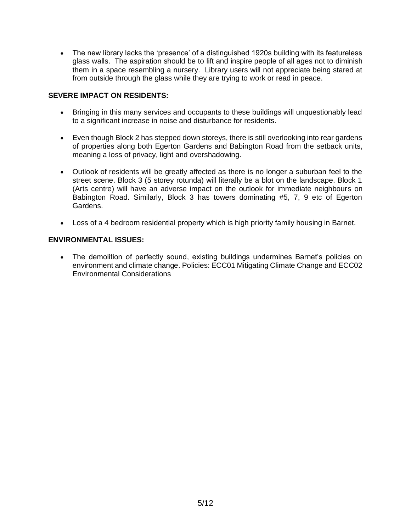• The new library lacks the 'presence' of a distinguished 1920s building with its featureless glass walls. The aspiration should be to lift and inspire people of all ages not to diminish them in a space resembling a nursery. Library users will not appreciate being stared at from outside through the glass while they are trying to work or read in peace.

#### **SEVERE IMPACT ON RESIDENTS:**

- Bringing in this many services and occupants to these buildings will unquestionably lead to a significant increase in noise and disturbance for residents.
- Even though Block 2 has stepped down storeys, there is still overlooking into rear gardens of properties along both Egerton Gardens and Babington Road from the setback units, meaning a loss of privacy, light and overshadowing.
- Outlook of residents will be greatly affected as there is no longer a suburban feel to the street scene. Block 3 (5 storey rotunda) will literally be a blot on the landscape. Block 1 (Arts centre) will have an adverse impact on the outlook for immediate neighbours on Babington Road. Similarly, Block 3 has towers dominating #5, 7, 9 etc of Egerton Gardens.
- Loss of a 4 bedroom residential property which is high priority family housing in Barnet.

#### **ENVIRONMENTAL ISSUES:**

• The demolition of perfectly sound, existing buildings undermines Barnet's policies on environment and climate change. Policies: ECC01 Mitigating Climate Change and ECC02 Environmental Considerations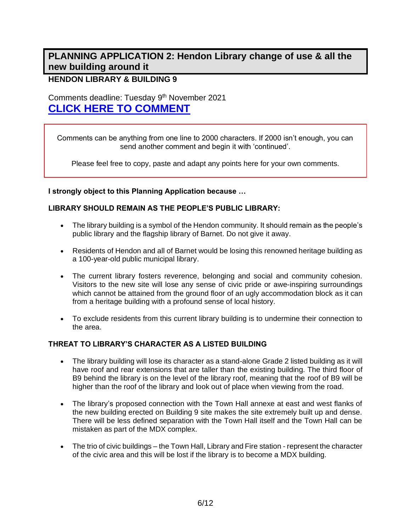# **PLANNING APPLICATION 2: Hendon Library change of use & all the new building around it**

### **HENDON LIBRARY & BUILDING 9**

Comments deadline: Tuesday 9<sup>th</sup> November 2021 **[CLICK HERE TO COMMENT](https://publicaccess.barnet.gov.uk/online-applications/applicationDetails.do?activeTab=makeComment&keyVal=QYP3T3JI09100)**

Comments can be anything from one line to 2000 characters. If 2000 isn't enough, you can send another comment and begin it with 'continued'.

Please feel free to copy, paste and adapt any points here for your own comments.

**I strongly object to this Planning Application because …** 

#### **LIBRARY SHOULD REMAIN AS THE PEOPLE'S PUBLIC LIBRARY:**

- The library building is a symbol of the Hendon community. It should remain as the people's public library and the flagship library of Barnet. Do not give it away.
- Residents of Hendon and all of Barnet would be losing this renowned heritage building as a 100-year-old public municipal library.
- The current library fosters reverence, belonging and social and community cohesion. Visitors to the new site will lose any sense of civic pride or awe-inspiring surroundings which cannot be attained from the ground floor of an ugly accommodation block as it can from a heritage building with a profound sense of local history.
- To exclude residents from this current library building is to undermine their connection to the area.

#### **THREAT TO LIBRARY'S CHARACTER AS A LISTED BUILDING**

- The library building will lose its character as a stand-alone Grade 2 listed building as it will have roof and rear extensions that are taller than the existing building. The third floor of B9 behind the library is on the level of the library roof, meaning that the roof of B9 will be higher than the roof of the library and look out of place when viewing from the road.
- The library's proposed connection with the Town Hall annexe at east and west flanks of the new building erected on Building 9 site makes the site extremely built up and dense. There will be less defined separation with the Town Hall itself and the Town Hall can be mistaken as part of the MDX complex.
- The trio of civic buildings the Town Hall, Library and Fire station represent the character of the civic area and this will be lost if the library is to become a MDX building.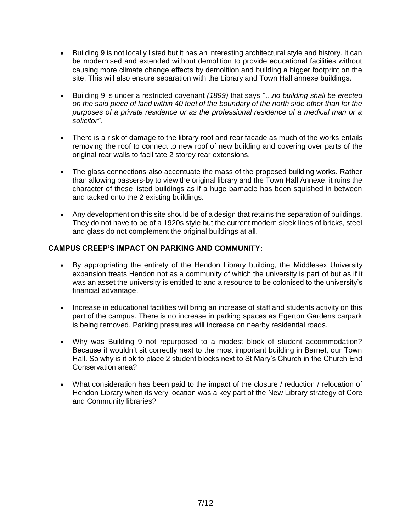- Building 9 is not locally listed but it has an interesting architectural style and history. It can be modernised and extended without demolition to provide educational facilities without causing more climate change effects by demolition and building a bigger footprint on the site. This will also ensure separation with the Library and Town Hall annexe buildings.
- Building 9 is under a restricted covenant *(1899)* that says *"…no building shall be erected on the said piece of land within 40 feet of the boundary of the north side other than for the purposes of a private residence or as the professional residence of a medical man or a solicitor"*.
- There is a risk of damage to the library roof and rear facade as much of the works entails removing the roof to connect to new roof of new building and covering over parts of the original rear walls to facilitate 2 storey rear extensions.
- The glass connections also accentuate the mass of the proposed building works. Rather than allowing passers-by to view the original library and the Town Hall Annexe, it ruins the character of these listed buildings as if a huge barnacle has been squished in between and tacked onto the 2 existing buildings.
- Any development on this site should be of a design that retains the separation of buildings. They do not have to be of a 1920s style but the current modern sleek lines of bricks, steel and glass do not complement the original buildings at all.

#### **CAMPUS CREEP'S IMPACT ON PARKING AND COMMUNITY:**

- By appropriating the entirety of the Hendon Library building, the Middlesex University expansion treats Hendon not as a community of which the university is part of but as if it was an asset the university is entitled to and a resource to be colonised to the university's financial advantage.
- Increase in educational facilities will bring an increase of staff and students activity on this part of the campus. There is no increase in parking spaces as Egerton Gardens carpark is being removed. Parking pressures will increase on nearby residential roads.
- Why was Building 9 not repurposed to a modest block of student accommodation? Because it wouldn't sit correctly next to the most important building in Barnet, our Town Hall. So why is it ok to place 2 student blocks next to St Mary's Church in the Church End Conservation area?
- What consideration has been paid to the impact of the closure / reduction / relocation of Hendon Library when its very location was a key part of the New Library strategy of Core and Community libraries?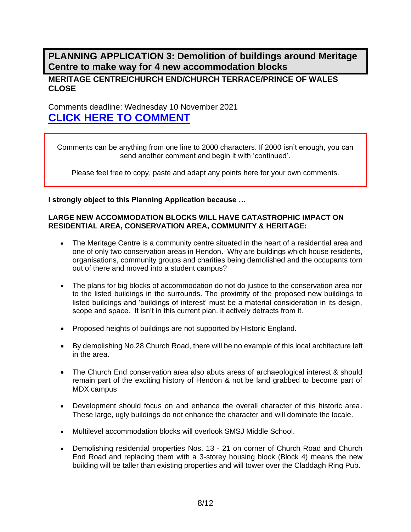**PLANNING APPLICATION 3: Demolition of buildings around Meritage Centre to make way for 4 new accommodation blocks**

#### **MERITAGE CENTRE/CHURCH END/CHURCH TERRACE/PRINCE OF WALES CLOSE**

Comments deadline: Wednesday 10 November 2021 **[CLICK HERE TO COMMENT](https://publicaccess.barnet.gov.uk/online-applications/applicationDetails.do?activeTab=makeComment&keyVal=QYP305JI09100)**

Comments can be anything from one line to 2000 characters. If 2000 isn't enough, you can send another comment and begin it with 'continued'.

Please feel free to copy, paste and adapt any points here for your own comments.

**I strongly object to this Planning Application because …** 

#### **LARGE NEW ACCOMMODATION BLOCKS WILL HAVE CATASTROPHIC IMPACT ON RESIDENTIAL AREA, CONSERVATION AREA, COMMUNITY & HERITAGE:**

- The Meritage Centre is a community centre situated in the heart of a residential area and one of only two conservation areas in Hendon. Why are buildings which house residents, organisations, community groups and charities being demolished and the occupants torn out of there and moved into a student campus?
- The plans for big blocks of accommodation do not do justice to the conservation area nor to the listed buildings in the surrounds. The proximity of the proposed new buildings to listed buildings and 'buildings of interest' must be a material consideration in its design, scope and space. It isn't in this current plan. it actively detracts from it.
- Proposed heights of buildings are not supported by Historic England.
- By demolishing No.28 Church Road, there will be no example of this local architecture left in the area.
- The Church End conservation area also abuts areas of archaeological interest & should remain part of the exciting history of Hendon & not be land grabbed to become part of MDX campus
- Development should focus on and enhance the overall character of this historic area. These large, ugly buildings do not enhance the character and will dominate the locale.
- Multilevel accommodation blocks will overlook SMSJ Middle School.
- Demolishing residential properties Nos. 13 21 on corner of Church Road and Church End Road and replacing them with a 3-storey housing block (Block 4) means the new building will be taller than existing properties and will tower over the Claddagh Ring Pub.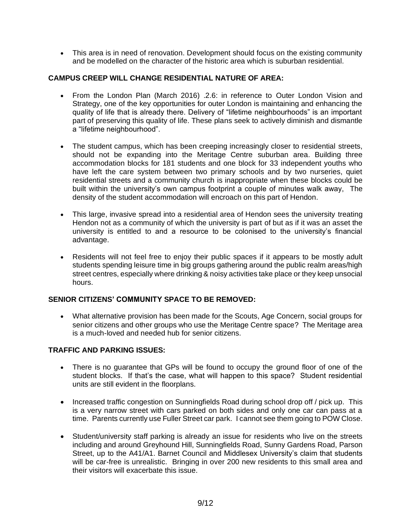• This area is in need of renovation. Development should focus on the existing community and be modelled on the character of the historic area which is suburban residential.

#### **CAMPUS CREEP WILL CHANGE RESIDENTIAL NATURE OF AREA:**

- From the London Plan (March 2016) .2.6: in reference to Outer London Vision and Strategy, one of the key opportunities for outer London is maintaining and enhancing the quality of life that is already there. Delivery of "lifetime neighbourhoods" is an important part of preserving this quality of life. These plans seek to actively diminish and dismantle a "lifetime neighbourhood".
- The student campus, which has been creeping increasingly closer to residential streets, should not be expanding into the Meritage Centre suburban area. Building three accommodation blocks for 181 students and one block for 33 independent youths who have left the care system between two primary schools and by two nurseries, quiet residential streets and a community church is inappropriate when these blocks could be built within the university's own campus footprint a couple of minutes walk away, The density of the student accommodation will encroach on this part of Hendon.
- This large, invasive spread into a residential area of Hendon sees the university treating Hendon not as a community of which the university is part of but as if it was an asset the university is entitled to and a resource to be colonised to the university's financial advantage.
- Residents will not feel free to enjoy their public spaces if it appears to be mostly adult students spending leisure time in big groups gathering around the public realm areas/high street centres, especially where drinking & noisy activities take place or they keep unsocial hours.

#### **SENIOR CITIZENS' COMMUNITY SPACE TO BE REMOVED:**

• What alternative provision has been made for the Scouts, Age Concern, social groups for senior citizens and other groups who use the Meritage Centre space? The Meritage area is a much-loved and needed hub for senior citizens.

#### **TRAFFIC AND PARKING ISSUES:**

- There is no quarantee that GPs will be found to occupy the ground floor of one of the student blocks. If that's the case, what will happen to this space? Student residential units are still evident in the floorplans.
- Increased traffic congestion on Sunningfields Road during school drop off / pick up. This is a very narrow street with cars parked on both sides and only one car can pass at a time. Parents currently use Fuller Street car park. I cannot see them going to POW Close.
- Student/university staff parking is already an issue for residents who live on the streets including and around Greyhound Hill, Sunningfields Road, Sunny Gardens Road, Parson Street, up to the A41/A1. Barnet Council and Middlesex University's claim that students will be car-free is unrealistic. Bringing in over 200 new residents to this small area and their visitors will exacerbate this issue.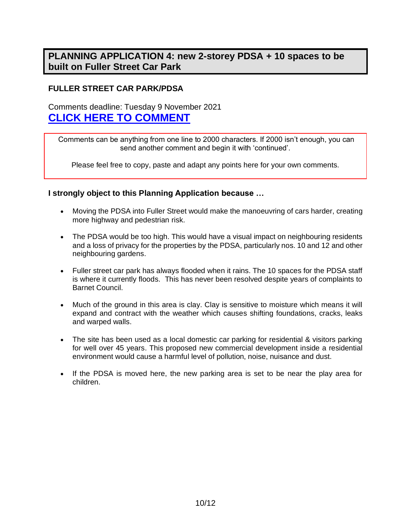# **PLANNING APPLICATION 4: new 2-storey PDSA + 10 spaces to be built on Fuller Street Car Park**

## **FULLER STREET CAR PARK/PDSA**

Comments deadline: Tuesday 9 November 2021 **[CLICK HERE TO COMMENT](https://publicaccess.barnet.gov.uk/online-applications/applicationDetails.do?activeTab=makeComment&keyVal=QYA45BJIJIW00)**

Comments can be anything from one line to 2000 characters. If 2000 isn't enough, you can send another comment and begin it with 'continued'.

Please feel free to copy, paste and adapt any points here for your own comments.

#### **I strongly object to this Planning Application because …**

- Moving the PDSA into Fuller Street would make the manoeuvring of cars harder, creating more highway and pedestrian risk.
- The PDSA would be too high. This would have a visual impact on neighbouring residents and a loss of privacy for the properties by the PDSA, particularly nos. 10 and 12 and other neighbouring gardens.
- Fuller street car park has always flooded when it rains. The 10 spaces for the PDSA staff is where it currently floods. This has never been resolved despite years of complaints to Barnet Council.
- Much of the ground in this area is clay. Clay is sensitive to moisture which means it will expand and contract with the weather which causes shifting foundations, cracks, leaks and warped walls.
- The site has been used as a local domestic car parking for residential & visitors parking for well over 45 years. This proposed new commercial development inside a residential environment would cause a harmful level of pollution, noise, nuisance and dust.
- If the PDSA is moved here, the new parking area is set to be near the play area for children.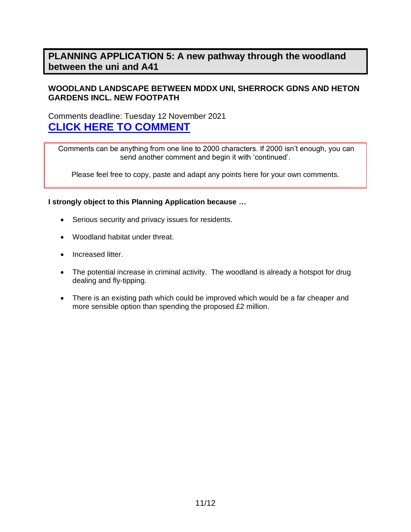## **PLANNING APPLICATION 5: A new pathway through the woodland between the uni and A41**

#### **WOODLAND LANDSCAPE BETWEEN MDDX UNI, SHERROCK GDNS AND HETON GARDENS INCL. NEW FOOTPATH**

Comments deadline: Tuesday 12 November 2021 **[CLICK HERE TO COMMENT](https://publicaccess.barnet.gov.uk/online-applications/applicationDetails.do?activeTab=makeComment&keyVal=QZPYQ0JIKKN00)**

Comments can be anything from one line to 2000 characters. If 2000 isn't enough, you can send another comment and begin it with 'continued'.

Please feel free to copy, paste and adapt any points here for your own comments.

**I strongly object to this Planning Application because …**

- Serious security and privacy issues for residents.
- Woodland habitat under threat.
- Increased litter.
- The potential increase in criminal activity. The woodland is already a hotspot for drug dealing and fly-tipping.
- There is an existing path which could be improved which would be a far cheaper and more sensible option than spending the proposed £2 million.